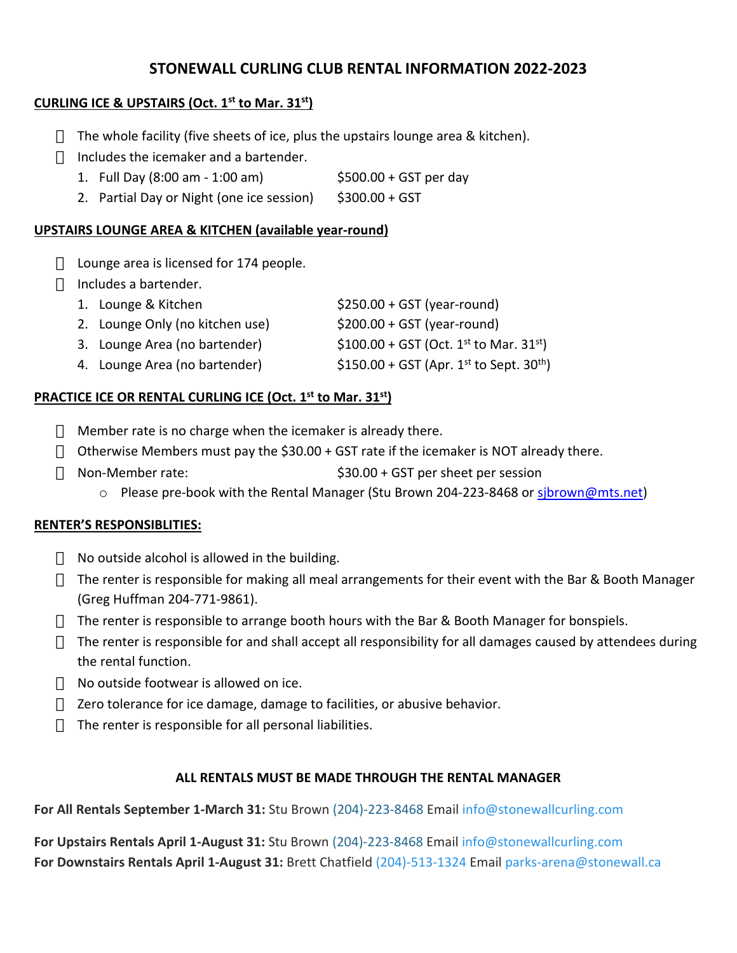# **STONEWALL CURLING CLUB RENTAL INFORMATION 2022-2023**

## **CURLING ICE & UPSTAIRS (Oct. 1st to Mar. 31st)**

The whole facility (five sheets of ice, plus the upstairs lounge area & kitchen). Includes the icemaker and a bartender.

- 1. Full Day (8:00 am 1:00 am) \$500.00 + GST per day
- 2. Partial Day or Night (one ice session) \$300.00 + GST

### **UPSTAIRS LOUNGE AREA & KITCHEN (available year-round)**

Lounge area is licensed for 174 people. Includes a bartender.

| 1. Lounge & Kitchen             | $$250.00 + GST (year-round)$                         |
|---------------------------------|------------------------------------------------------|
| 2. Lounge Only (no kitchen use) | $$200.00 + GST$ (year-round)                         |
| 3. Lounge Area (no bartender)   | $$100.00 + GST (Oct. 1st to Mar. 31st)$              |
| 4. Lounge Area (no bartender)   | \$150.00 + GST (Apr. 1st to Sept. 30 <sup>th</sup> ) |

## **PRACTICE ICE OR RENTAL CURLING ICE (Oct. 1st to Mar. 31st)**

Member rate is no charge when the icemaker is already there. Otherwise Members must pay the \$30.00 + GST rate if the icemaker is NOT already there. Non-Member rate: \$30.00 + GST per sheet per session o Please pre-book with the Rental Manager (Stu Brown 204-223-8468 or sjbrown@mts.net)

# **RENTER'S RESPONSIBLITIES:**

No outside alcohol is allowed in the building.

The renter is responsible for making all meal arrangements for their event with the Bar & Booth Manager (Greg Huffman 204-771-9861).

The renter is responsible to arrange booth hours with the Bar & Booth Manager for bonspiels.

The renter is responsible for and shall accept all responsibility for all damages caused by attendees during the rental function.

No outside footwear is allowed on ice.

Zero tolerance for ice damage, damage to facilities, or abusive behavior.

The renter is responsible for all personal liabilities.

### **ALL RENTALS MUST BE MADE THROUGH THE RENTAL MANAGER**

**For All Rentals September 1-March 31:** Stu Brown (204)-223-8468 Email info@stonewallcurling.com

**For Upstairs Rentals April 1-August 31:** Stu Brown (204)-223-8468 Email info@stonewallcurling.com **For Downstairs Rentals April 1-August 31:** Brett Chatfield (204)-513-1324 Email parks-arena@stonewall.ca